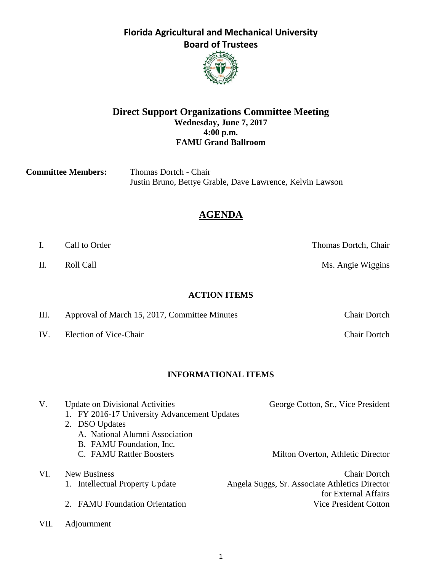

### **Direct Support Organizations Committee Meeting Wednesday, June 7, 2017 4:00 p.m. FAMU Grand Ballroom**

| <b>Committee Members:</b> | Thomas Dortch - Chair                                     |  |  |  |  |
|---------------------------|-----------------------------------------------------------|--|--|--|--|
|                           | Justin Bruno, Bettye Grable, Dave Lawrence, Kelvin Lawson |  |  |  |  |

# **AGENDA**

I. Call to Order Thomas Dortch, Chair

II. Roll Call **Call Call** Ms. Angie Wiggins

#### **ACTION ITEMS**

III. Approval of March 15, 2017, Committee Minutes Chair Dortch

IV. Election of Vice-Chair Chair Dortch

### **INFORMATIONAL ITEMS**

| V.   | <b>Update on Divisional Activities</b><br>1. FY 2016-17 University Advancement Updates<br>2. DSO Updates<br>A. National Alumni Association | George Cotton, Sr., Vice President             |
|------|--------------------------------------------------------------------------------------------------------------------------------------------|------------------------------------------------|
|      | B. FAMU Foundation, Inc.<br>C. FAMU Rattler Boosters                                                                                       | Milton Overton, Athletic Director              |
| VI.  | <b>New Business</b>                                                                                                                        | <b>Chair Dortch</b>                            |
|      | 1. Intellectual Property Update                                                                                                            | Angela Suggs, Sr. Associate Athletics Director |
|      |                                                                                                                                            | for External Affairs                           |
|      | 2. FAMU Foundation Orientation                                                                                                             | Vice President Cotton                          |
| VII. | Adiournment                                                                                                                                |                                                |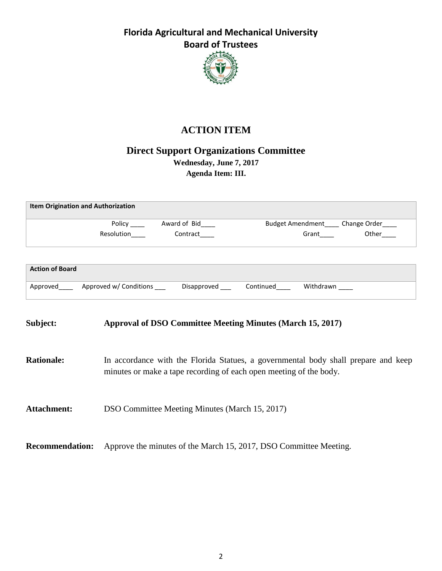

# **ACTION ITEM**

**Direct Support Organizations Committee**

**Wednesday, June 7, 2017 Agenda Item: III.**

| <b>Item Origination and Authorization</b> |                        |              |                                         |           |       |  |  |  |  |  |
|-------------------------------------------|------------------------|--------------|-----------------------------------------|-----------|-------|--|--|--|--|--|
|                                           | Policy                 | Award of Bid | <b>Budget Amendment</b><br>Change Order |           |       |  |  |  |  |  |
|                                           | Resolution             | Contract     |                                         | Grant     | Other |  |  |  |  |  |
|                                           |                        |              |                                         |           |       |  |  |  |  |  |
| <b>Action of Board</b>                    |                        |              |                                         |           |       |  |  |  |  |  |
| Approved                                  | Approved w/ Conditions | Disapproved  | Continued                               | Withdrawn |       |  |  |  |  |  |

### **Subject: Approval of DSO Committee Meeting Minutes (March 15, 2017)**

**Rationale:** In accordance with the Florida Statues, a governmental body shall prepare and keep minutes or make a tape recording of each open meeting of the body.

Attachment: DSO Committee Meeting Minutes (March 15, 2017)

**Recommendation:** Approve the minutes of the March 15, 2017, DSO Committee Meeting.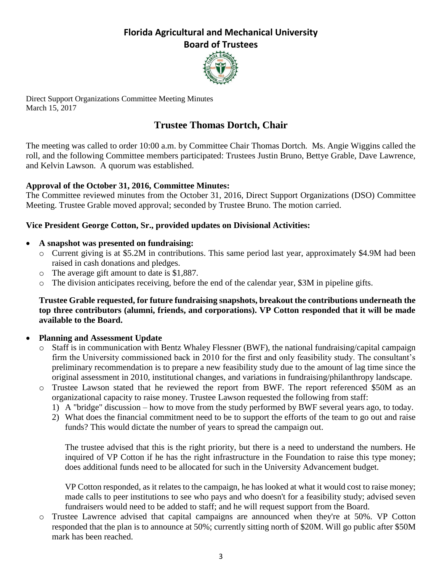

Direct Support Organizations Committee Meeting Minutes March 15, 2017

# **Trustee Thomas Dortch, Chair**

The meeting was called to order 10:00 a.m. by Committee Chair Thomas Dortch*.* Ms. Angie Wiggins called the roll, and the following Committee members participated: Trustees Justin Bruno, Bettye Grable, Dave Lawrence, and Kelvin Lawson. A quorum was established.

### **Approval of the October 31, 2016, Committee Minutes:**

The Committee reviewed minutes from the October 31, 2016, Direct Support Organizations (DSO) Committee Meeting. Trustee Grable moved approval; seconded by Trustee Bruno. The motion carried.

### **Vice President George Cotton, Sr., provided updates on Divisional Activities:**

### **A snapshot was presented on fundraising:**

- o Current giving is at \$5.2M in contributions. This same period last year, approximately \$4.9M had been raised in cash donations and pledges.
- o The average gift amount to date is \$1,887.
- o The division anticipates receiving, before the end of the calendar year, \$3M in pipeline gifts.

**Trustee Grable requested, for future fundraising snapshots, breakout the contributions underneath the top three contributors (alumni, friends, and corporations). VP Cotton responded that it will be made available to the Board.**

### **Planning and Assessment Update**

- $\circ$  Staff is in communication with Bentz Whaley Flessner (BWF), the national fundraising/capital campaign firm the University commissioned back in 2010 for the first and only feasibility study. The consultant's preliminary recommendation is to prepare a new feasibility study due to the amount of lag time since the original assessment in 2010, institutional changes, and variations in fundraising/philanthropy landscape.
- o Trustee Lawson stated that he reviewed the report from BWF. The report referenced \$50M as an organizational capacity to raise money. Trustee Lawson requested the following from staff:
	- 1) A "bridge" discussion how to move from the study performed by BWF several years ago, to today.
	- 2) What does the financial commitment need to be to support the efforts of the team to go out and raise funds? This would dictate the number of years to spread the campaign out.

The trustee advised that this is the right priority, but there is a need to understand the numbers. He inquired of VP Cotton if he has the right infrastructure in the Foundation to raise this type money; does additional funds need to be allocated for such in the University Advancement budget.

VP Cotton responded, as it relates to the campaign, he has looked at what it would cost to raise money; made calls to peer institutions to see who pays and who doesn't for a feasibility study; advised seven fundraisers would need to be added to staff; and he will request support from the Board.

o Trustee Lawrence advised that capital campaigns are announced when they're at 50%. VP Cotton responded that the plan is to announce at 50%; currently sitting north of \$20M. Will go public after \$50M mark has been reached.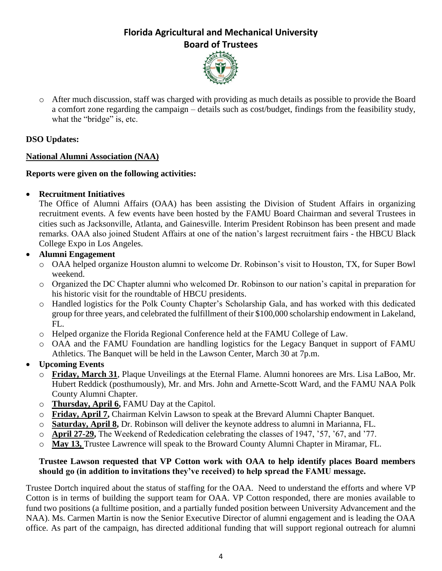

o After much discussion, staff was charged with providing as much details as possible to provide the Board a comfort zone regarding the campaign – details such as cost/budget, findings from the feasibility study, what the "bridge" is, etc.

### **DSO Updates:**

### **National Alumni Association (NAA)**

#### **Reports were given on the following activities:**

### **Recruitment Initiatives**

The Office of Alumni Affairs (OAA) has been assisting the Division of Student Affairs in organizing recruitment events. A few events have been hosted by the FAMU Board Chairman and several Trustees in cities such as Jacksonville, Atlanta, and Gainesville. Interim President Robinson has been present and made remarks. OAA also joined Student Affairs at one of the nation's largest recruitment fairs - the HBCU Black College Expo in Los Angeles.

### **Alumni Engagement**

- o OAA helped organize Houston alumni to welcome Dr. Robinson's visit to Houston, TX, for Super Bowl weekend.
- o Organized the DC Chapter alumni who welcomed Dr. Robinson to our nation's capital in preparation for his historic visit for the roundtable of HBCU presidents.
- o Handled logistics for the Polk County Chapter's Scholarship Gala, and has worked with this dedicated group for three years, and celebrated the fulfillment of their \$100,000 scholarship endowment in Lakeland, FL.
- o Helped organize the Florida Regional Conference held at the FAMU College of Law.
- o OAA and the FAMU Foundation are handling logistics for the Legacy Banquet in support of FAMU Athletics. The Banquet will be held in the Lawson Center, March 30 at 7p.m.

### **Upcoming Events**

- o **Friday, March 31**, Plaque Unveilings at the Eternal Flame. Alumni honorees are Mrs. Lisa LaBoo, Mr. Hubert Reddick (posthumously), Mr. and Mrs. John and Arnette-Scott Ward, and the FAMU NAA Polk County Alumni Chapter.
- o **Thursday, April 6,** FAMU Day at the Capitol.
- o **Friday, April 7,** Chairman Kelvin Lawson to speak at the Brevard Alumni Chapter Banquet.
- o **Saturday, April 8,** Dr. Robinson will deliver the keynote address to alumni in Marianna, FL.
- o **April 27-29,** The Weekend of Rededication celebrating the classes of 1947, '57, '67, and '77.
- o **May 13,** Trustee Lawrence will speak to the Broward County Alumni Chapter in Miramar, FL.

#### **Trustee Lawson requested that VP Cotton work with OAA to help identify places Board members should go (in addition to invitations they've received) to help spread the FAMU message.**

Trustee Dortch inquired about the status of staffing for the OAA. Need to understand the efforts and where VP Cotton is in terms of building the support team for OAA. VP Cotton responded, there are monies available to fund two positions (a fulltime position, and a partially funded position between University Advancement and the NAA). Ms. Carmen Martin is now the Senior Executive Director of alumni engagement and is leading the OAA office. As part of the campaign, has directed additional funding that will support regional outreach for alumni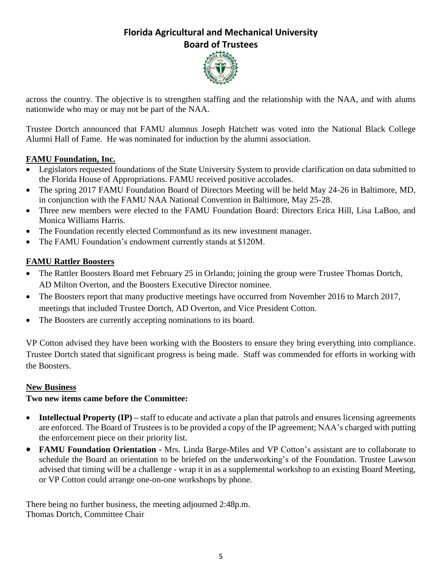

across the country. The objective is to strengthen staffing and the relationship with the NAA, and with alums nationwide who may or may not be part of the NAA.

Trustee Dortch announced that FAMU alumnus Joseph Hatchett was voted into the National Black College Alumni Hall of Fame. He was nominated for induction by the alumni association.

### **FAMU Foundation, Inc.**

- Legislators requested foundations of the State University System to provide clarification on data submitted to the Florida House of Appropriations. FAMU received positive accolades.
- The spring 2017 FAMU Foundation Board of Directors Meeting will be held May 24-26 in Baltimore, MD, in conjunction with the FAMU NAA National Convention in Baltimore, May 25-28.
- Three new members were elected to the FAMU Foundation Board: Directors Erica Hill, Lisa LaBoo, and Monica Williams Harris.
- The Foundation recently elected Commonfund as its new investment manager.
- The FAMU Foundation's endowment currently stands at \$120M.

### **FAMU Rattler Boosters**

- The Rattler Boosters Board met February 25 in Orlando; joining the group were Trustee Thomas Dortch, AD Milton Overton, and the Boosters Executive Director nominee.
- The Boosters report that many productive meetings have occurred from November 2016 to March 2017, meetings that included Trustee Dortch, AD Overton, and Vice President Cotton.
- The Boosters are currently accepting nominations to its board.

VP Cotton advised they have been working with the Boosters to ensure they bring everything into compliance. Trustee Dortch stated that significant progress is being made. Staff was commended for efforts in working with the Boosters.

#### **New Business**

### **Two new items came before the Committee:**

- **Intellectual Property (IP) –** staff to educate and activate a plan that patrols and ensures licensing agreements are enforced. The Board of Trustees is to be provided a copy of the IP agreement; NAA's charged with putting the enforcement piece on their priority list.
- **FAMU Foundation Orientation -** Mrs. Linda Barge-Miles and VP Cotton's assistant are to collaborate to schedule the Board an orientation to be briefed on the underworking's of the Foundation. Trustee Lawson advised that timing will be a challenge - wrap it in as a supplemental workshop to an existing Board Meeting, or VP Cotton could arrange one-on-one workshops by phone.

There being no further business, the meeting adjourned 2:48p.m. Thomas Dortch, Committee Chair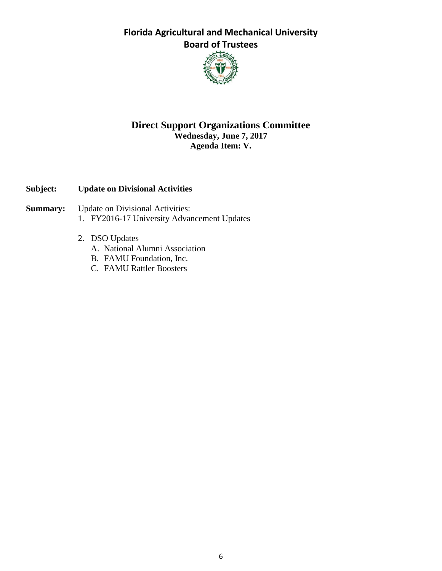

### **Direct Support Organizations Committee Wednesday, June 7, 2017 Agenda Item: V.**

### **Subject: Update on Divisional Activities**

- **Summary:** Update on Divisional Activities:
	- 1. FY2016-17 University Advancement Updates
	- 2. DSO Updates
		- A. National Alumni Association
		- B. FAMU Foundation, Inc.
		- C. FAMU Rattler Boosters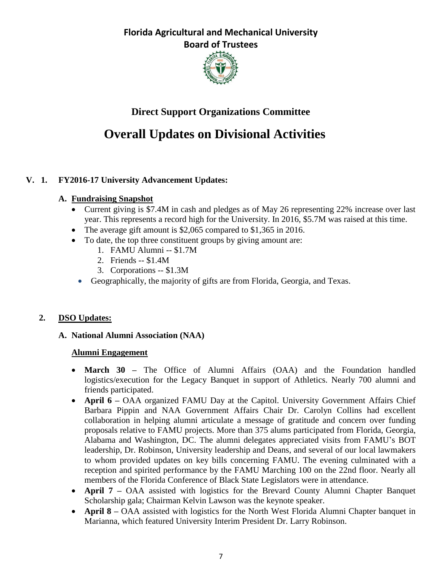

# **Direct Support Organizations Committee**

# **Overall Updates on Divisional Activities**

### **V. 1. FY2016-17 University Advancement Updates:**

### **A. Fundraising Snapshot**

- Current giving is \$7.4M in cash and pledges as of May 26 representing 22% increase over last year. This represents a record high for the University. In 2016, \$5.7M was raised at this time.
- The average gift amount is \$2,065 compared to \$1,365 in 2016.
- To date, the top three constituent groups by giving amount are:
	- 1. FAMU Alumni -- \$1.7M
	- 2. Friends -- \$1.4M
	- 3. Corporations -- \$1.3M
	- Geographically, the majority of gifts are from Florida, Georgia, and Texas.

### **2. DSO Updates:**

### **A. National Alumni Association (NAA)**

#### **Alumni Engagement**

- **March 30 –** The Office of Alumni Affairs (OAA) and the Foundation handled logistics/execution for the Legacy Banquet in support of Athletics. Nearly 700 alumni and friends participated.
- **April 6** OAA organized FAMU Day at the Capitol. University Government Affairs Chief Barbara Pippin and NAA Government Affairs Chair Dr. Carolyn Collins had excellent collaboration in helping alumni articulate a message of gratitude and concern over funding proposals relative to FAMU projects. More than 375 alums participated from Florida, Georgia, Alabama and Washington, DC. The alumni delegates appreciated visits from FAMU's BOT leadership, Dr. Robinson, University leadership and Deans, and several of our local lawmakers to whom provided updates on key bills concerning FAMU. The evening culminated with a reception and spirited performance by the FAMU Marching 100 on the 22nd floor. Nearly all members of the Florida Conference of Black State Legislators were in attendance.
- **April 7 –** OAA assisted with logistics for the Brevard County Alumni Chapter Banquet Scholarship gala; Chairman Kelvin Lawson was the keynote speaker.
- **April 8 –** OAA assisted with logistics for the North West Florida Alumni Chapter banquet in Marianna, which featured University Interim President Dr. Larry Robinson.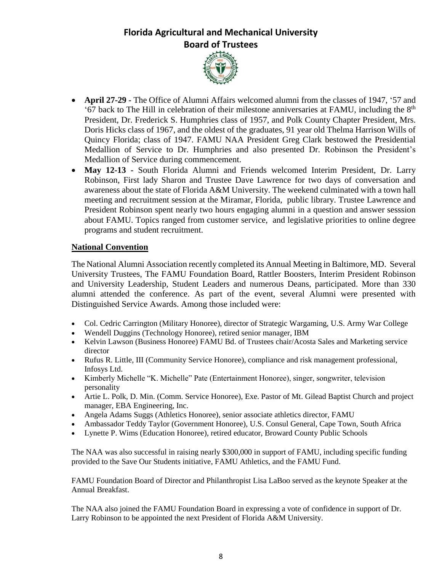

- **April 27-29 -** The Office of Alumni Affairs welcomed alumni from the classes of 1947, '57 and '67 back to The Hill in celebration of their milestone anniversaries at FAMU, including the  $8<sup>th</sup>$ President, Dr. Frederick S. Humphries class of 1957, and Polk County Chapter President, Mrs. Doris Hicks class of 1967, and the oldest of the graduates, 91 year old Thelma Harrison Wills of Quincy Florida; class of 1947. FAMU NAA President Greg Clark bestowed the Presidential Medallion of Service to Dr. Humphries and also presented Dr. Robinson the President's Medallion of Service during commencement.
- **May 12-13 -** South Florida Alumni and Friends welcomed Interim President, Dr. Larry Robinson, First lady Sharon and Trustee Dave Lawrence for two days of conversation and awareness about the state of Florida A&M University. The weekend culminated with a town hall meeting and recruitment session at the Miramar, Florida, public library. Trustee Lawrence and President Robinson spent nearly two hours engaging alumni in a question and answer sesssion about FAMU. Topics ranged from customer service, and legislative priorities to online degree programs and student recruitment.

#### **National Convention**

The National Alumni Association recently completed its Annual Meeting in Baltimore, MD. Several University Trustees, The FAMU Foundation Board, Rattler Boosters, Interim President Robinson and University Leadership, Student Leaders and numerous Deans, participated. More than 330 alumni attended the conference. As part of the event, several Alumni were presented with Distinguished Service Awards. Among those included were:

- Col. Cedric Carrington (Military Honoree), director of Strategic Wargaming, U.S. Army War College
- Wendell Duggins (Technology Honoree), retired senior manager, IBM
- Kelvin Lawson (Business Honoree) FAMU Bd. of Trustees chair/Acosta Sales and Marketing service director
- Rufus R. Little, III (Community Service Honoree), compliance and risk management professional, Infosys Ltd.
- Kimberly Michelle "K. Michelle" Pate (Entertainment Honoree), singer, songwriter, television personality
- Artie L. Polk, D. Min. (Comm. Service Honoree), Exe. Pastor of Mt. Gilead Baptist Church and project manager, EBA Engineering, Inc.
- Angela Adams Suggs (Athletics Honoree), senior associate athletics director, FAMU
- Ambassador Teddy Taylor (Government Honoree), U.S. Consul General, Cape Town, South Africa
- Lynette P. Wims (Education Honoree), retired educator, Broward County Public Schools

The NAA was also successful in raising nearly \$300,000 in support of FAMU, including specific funding provided to the Save Our Students initiative, FAMU Athletics, and the FAMU Fund.

FAMU Foundation Board of Director and Philanthropist Lisa LaBoo served as the keynote Speaker at the Annual Breakfast.

The NAA also joined the FAMU Foundation Board in expressing a vote of confidence in support of Dr. Larry Robinson to be appointed the next President of Florida A&M University.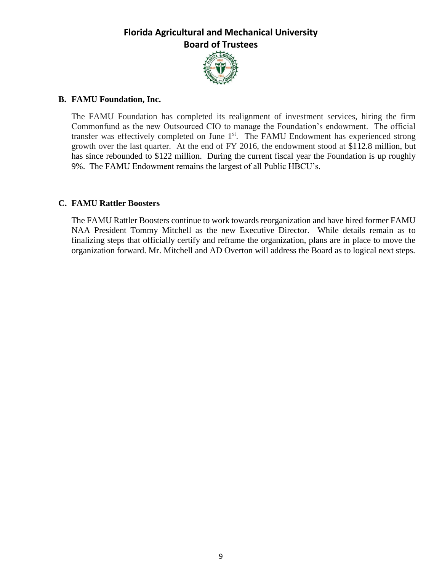

#### **B. FAMU Foundation, Inc.**

The FAMU Foundation has completed its realignment of investment services, hiring the firm Commonfund as the new Outsourced CIO to manage the Foundation's endowment. The official transfer was effectively completed on June  $1<sup>st</sup>$ . The FAMU Endowment has experienced strong growth over the last quarter. At the end of FY 2016, the endowment stood at \$112.8 million, but has since rebounded to \$122 million. During the current fiscal year the Foundation is up roughly 9%. The FAMU Endowment remains the largest of all Public HBCU's.

### **C. FAMU Rattler Boosters**

The FAMU Rattler Boosters continue to work towards reorganization and have hired former FAMU NAA President Tommy Mitchell as the new Executive Director. While details remain as to finalizing steps that officially certify and reframe the organization, plans are in place to move the organization forward. Mr. Mitchell and AD Overton will address the Board as to logical next steps.